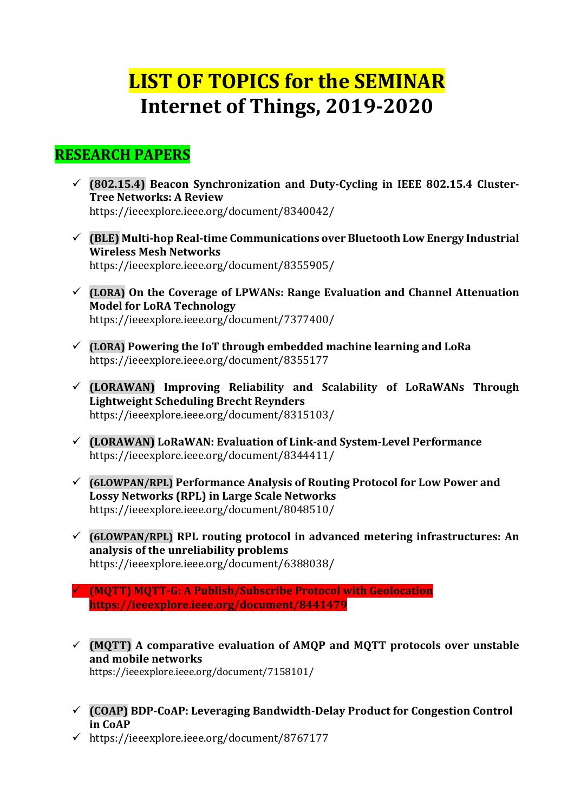## **LIST OF TOPICS for the SEMINAR Internet of Things, 2019-2020**

## **RESEARCH PAPERS**

- ü **(802.15.4) Beacon Synchronization and Duty-Cycling in IEEE 802.15.4 Cluster-Tree Networks: A Review** https://ieeexplore.ieee.org/document/8340042/
- $\checkmark$  (BLE) Multi-hop Real-time Communications over Bluetooth Low Energy Industrial **Wireless Mesh Networks** https://ieeexplore.ieee.org/document/8355905/
- $\checkmark$  (LORA) On the Coverage of LPWANs: Range Evaluation and Channel Attenuation **Model for LoRA Technology** https://ieeexplore.ieee.org/document/7377400/
- $\checkmark$  (LORA) Powering the IoT through embedded machine learning and LoRa https://ieeexplore.ieee.org/document/8355177
- ü **(LORAWAN) Improving Reliability and Scalability of LoRaWANs Through Lightweight Scheduling Brecht Reynders** https://ieeexplore.ieee.org/document/8315103/
- ü **(LORAWAN) LoRaWAN: Evaluation of Link-and System-Level Performance** https://ieeexplore.ieee.org/document/8344411/
- ü **(6LOWPAN/RPL) Performance Analysis of Routing Protocol for Low Power and**  Lossy Networks (RPL) in Large Scale Networks https://ieeexplore.ieee.org/document/8048510/
- $\checkmark$  (6LOWPAN/RPL) RPL routing protocol in advanced metering infrastructures: An **analysis of the unreliability problems** https://ieeexplore.ieee.org/document/6388038/
- ü **(MQTT) MQTT-G: A Publish/Subscribe Protocol with Geolocation https://ieeexplore.ieee.org/document/8441479**
- $\checkmark$  (MQTT) A comparative evaluation of AMQP and MQTT protocols over unstable **and mobile networks** https://ieeexplore.ieee.org/document/7158101/
- ü **(COAP) BDP-CoAP: Leveraging Bandwidth-Delay Product for Congestion Control in CoAP**
- $\nu$  https://ieeexplore.ieee.org/document/8767177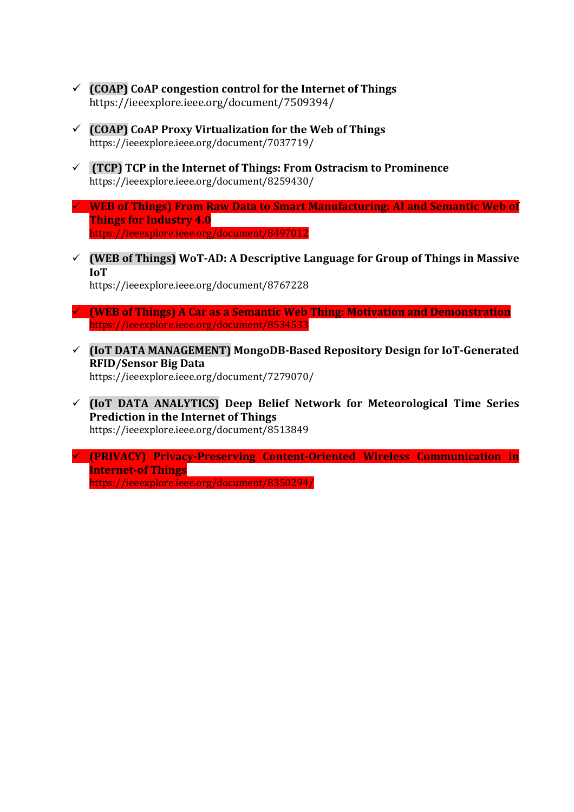- $\checkmark$  (COAP) CoAP congestion control for the Internet of Things https://ieeexplore.ieee.org/document/7509394/
- $\checkmark$  (COAP) CoAP Proxy Virtualization for the Web of Things https://ieeexplore.ieee.org/document/7037719/
- $\checkmark$  **(TCP) TCP** in the Internet of Things: From Ostracism to Prominence https://ieeexplore.ieee.org/document/8259430/
- $\checkmark$  WEB of Things) From Raw Data to Smart Manufacturing: AI and Semantic Web of **Things for Industry 4.0** https://ieeexplore.ieee.org/document/8497012
- $\checkmark$  (WEB of Things) WoT-AD: A Descriptive Language for Group of Things in Massive **IoT**

https://ieeexplore.ieee.org/document/8767228

- ü **(WEB of Things) A Car as a Semantic Web Thing: Motivation and Demonstration** https://ieeexplore.ieee.org/document/8534533
- ü **(IoT DATA MANAGEMENT) MongoDB-Based Repository Design for IoT-Generated RFID/Sensor Big Data** https://ieeexplore.ieee.org/document/7279070/
- $\checkmark$  (IoT DATA ANALYTICS) Deep Belief Network for Meteorological Time Series **Prediction in the Internet of Things** https://ieeexplore.ieee.org/document/8513849
- ü **(PRIVACY) Privacy-Preserving Content-Oriented Wireless Communication in Internet-of Things** https://ieeexplore.ieee.org/document/8350294/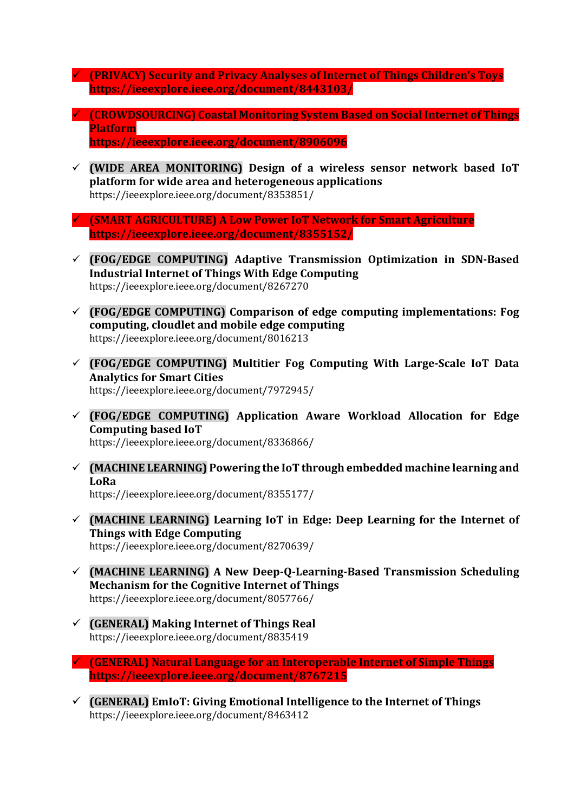- ü **(PRIVACY) Security and Privacy Analyses of Internet of Things Children's Toys https://ieeexplore.ieee.org/document/8443103/**
- $\checkmark$  **(CROWDSOURCING) Coastal Monitoring System Based on Social Internet of Things Platform https://ieeexplore.ieee.org/document/8906096**
- $\checkmark$  (WIDE AREA MONITORING) Design of a wireless sensor network based IoT **platform for wide area and heterogeneous applications** https://ieeexplore.ieee.org/document/8353851/
- ü **(SMART AGRICULTURE) A Low Power IoT Network for Smart Agriculture https://ieeexplore.ieee.org/document/8355152/**
- ü **(FOG/EDGE COMPUTING) Adaptive Transmission Optimization in SDN-Based Industrial Internet of Things With Edge Computing** https://ieeexplore.ieee.org/document/8267270
- $\checkmark$  (FOG/EDGE COMPUTING) Comparison of edge computing implementations: Fog **computing, cloudlet and mobile edge computing** https://ieeexplore.ieee.org/document/8016213
- $\checkmark$  (FOG/EDGE COMPUTING) Multitier Fog Computing With Large-Scale IoT Data **Analytics for Smart Cities** https://ieeexplore.ieee.org/document/7972945/
- ü **(FOG/EDGE COMPUTING) Application Aware Workload Allocation for Edge Computing based IoT** https://ieeexplore.ieee.org/document/8336866/
- $\checkmark$  (MACHINE LEARNING) Powering the IoT through embedded machine learning and **LoRa**

https://ieeexplore.ieee.org/document/8355177/

- $\checkmark$  (MACHINE LEARNING) Learning IoT in Edge: Deep Learning for the Internet of **Things with Edge Computing** https://ieeexplore.ieee.org/document/8270639/
- $\checkmark$  (MACHINE LEARNING) A New Deep-Q-Learning-Based Transmission Scheduling **Mechanism for the Cognitive Internet of Things** https://ieeexplore.ieee.org/document/8057766/
- $\checkmark$  (GENERAL) Making Internet of Things Real https://ieeexplore.ieee.org/document/8835419
- ü **(GENERAL) Natural Language for an Interoperable Internet of Simple Things https://ieeexplore.ieee.org/document/8767215**
- $\checkmark$  (GENERAL) EmIoT: Giving Emotional Intelligence to the Internet of Things https://ieeexplore.ieee.org/document/8463412